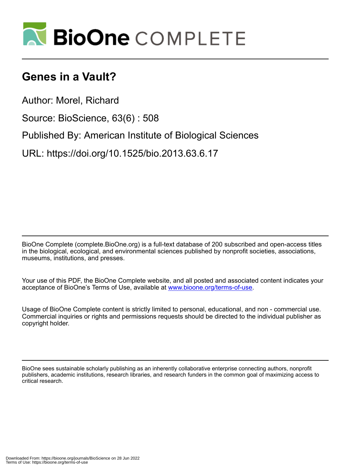

## **Genes in a Vault?**

Author: Morel, Richard

Source: BioScience, 63(6) : 508

Published By: American Institute of Biological Sciences

URL: https://doi.org/10.1525/bio.2013.63.6.17

BioOne Complete (complete.BioOne.org) is a full-text database of 200 subscribed and open-access titles in the biological, ecological, and environmental sciences published by nonprofit societies, associations, museums, institutions, and presses.

Your use of this PDF, the BioOne Complete website, and all posted and associated content indicates your acceptance of BioOne's Terms of Use, available at www.bioone.org/terms-of-use.

Usage of BioOne Complete content is strictly limited to personal, educational, and non - commercial use. Commercial inquiries or rights and permissions requests should be directed to the individual publisher as copyright holder.

BioOne sees sustainable scholarly publishing as an inherently collaborative enterprise connecting authors, nonprofit publishers, academic institutions, research libraries, and research funders in the common goal of maximizing access to critical research.